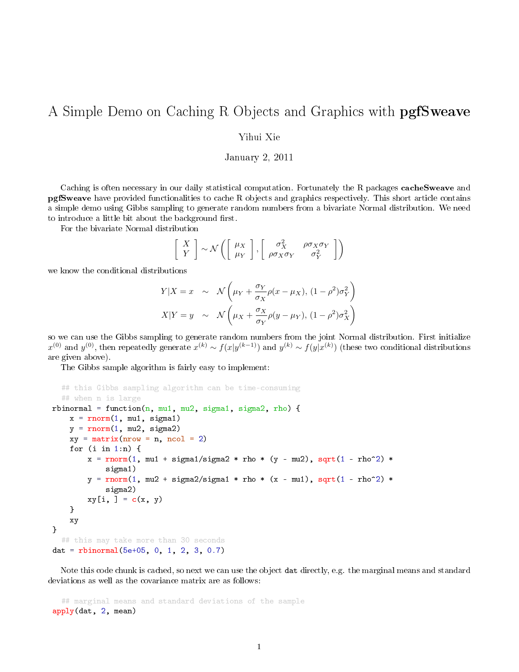## A Simple Demo on Caching R Objects and Graphics with **pgfSweave**

Yihui Xie

January 2, 2011

Caching is often necessary in our daily statistical computation. Fortunately the R packages **cacheSweave** and pgfSweave have provided functionalities to cache R objects and graphics respectively. This short article contains a simple demo using Gibbs sampling to generate random numbers from a bivariate Normal distribution. We need to introduce a little bit about the background first.

For the bivariate Normal distribution

$$
\left[\begin{array}{c} X \\ Y \end{array}\right] \sim \mathcal{N}\left(\left[\begin{array}{c} \mu_X \\ \mu_Y \end{array}\right], \left[\begin{array}{cc} \sigma_X^2 & \rho \sigma_X \sigma_Y \\ \rho \sigma_X \sigma_Y & \sigma_Y^2 \end{array}\right]\right)
$$

we know the conditional distributions

$$
Y|X = x \sim \mathcal{N}\left(\mu_Y + \frac{\sigma_Y}{\sigma_X}\rho(x - \mu_X), (1 - \rho^2)\sigma_Y^2\right)
$$

$$
X|Y = y \sim \mathcal{N}\left(\mu_X + \frac{\sigma_X}{\sigma_Y}\rho(y - \mu_Y), (1 - \rho^2)\sigma_X^2\right)
$$

so we can use the Gibbs sampling to generate random numbers from the joint Normal distribution. First initialize  $x^{(0)}$  and  $y^{(0)}$ , then repeatedly generate  $x^{(k)} \sim f(x|y^{(k-1)})$  and  $y^{(k)} \sim f(y|x^{(k)})$  (these two conditional distributions are given above).

The Gibbs sample algorithm is fairly easy to implement:

```
## this Gibbs sampling algorithm can be time-consuming
  ## when n is large
rbinormal = function(n, mu1, mu2, sigma1, sigma2, rho) {
   x = rnorm(1, mu1, sigma1)y = rnorm(1, mu2, sigma2)xy = matrix(nrow = n, ncol = 2)for (i in 1:n) {
       x = rnorm(1, mu1 + sigma1/sigma2 * rho * (y - mu2), sqrt(1 - rho^2) *sigma1)
       y = rnorm(1, mu2 + sigma2/sigma + m) * (x - mu1), sqrt(1 - rho^2) *sigma2)
       xy[i, ] = c(x, y)}
    xy
}
  ## this may take more than 30 seconds
dat = rbinormal(5e+05, 0, 1, 2, 3, 0.7)
```
Note this code chunk is cached, so next we can use the object dat directly, e.g. the marginal means and standard deviations as well as the covariance matrix are as follows:

## marginal means and standard deviations of the sample apply(dat, 2, mean)